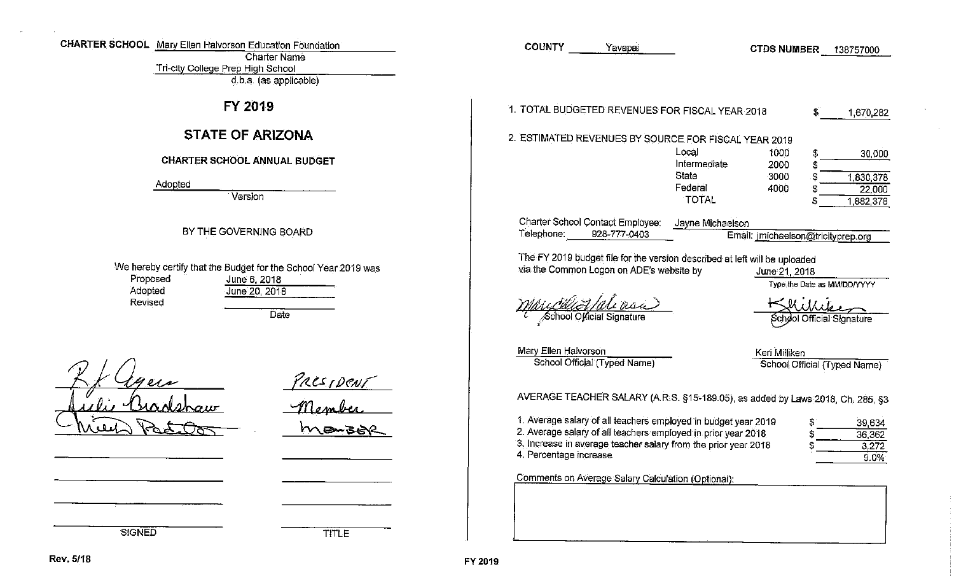| CHARTER SCHOOL Mary Ellen Halvorson Education Foundation<br><b>Charter Name</b>                                                     | <b>COUNTY</b><br>Yavapai<br><b>CTDS NUMBER</b><br>138757000                                                                                                                                                                                                                                                                                        |
|-------------------------------------------------------------------------------------------------------------------------------------|----------------------------------------------------------------------------------------------------------------------------------------------------------------------------------------------------------------------------------------------------------------------------------------------------------------------------------------------------|
| Tri-city College Prep High School<br>d.b.a. (as applicable)                                                                         |                                                                                                                                                                                                                                                                                                                                                    |
| FY 2019                                                                                                                             | 1. TOTAL BUDGETED REVENUES FOR FISCAL YEAR 2018<br>1,670,282                                                                                                                                                                                                                                                                                       |
| <b>STATE OF ARIZONA</b>                                                                                                             | 2. ESTIMATED REVENUES BY SOURCE FOR FISCAL YEAR 2019                                                                                                                                                                                                                                                                                               |
| CHARTER SCHOOL ANNUAL BUDGET                                                                                                        | Local<br>1000<br>30,000<br>Intermediate<br>2000<br>State<br>3000                                                                                                                                                                                                                                                                                   |
| Adopted<br>Version                                                                                                                  | 1,830,378<br>Federal<br>4000<br>22,000<br><b>TOTAL</b><br>1,882,378                                                                                                                                                                                                                                                                                |
| BY THE GOVERNING BOARD                                                                                                              | <b>Charter School Contact Employee:</b><br>Jayne Michaelson<br>Telephone:<br>928-777-0403<br>Email: jmichaelson@tricityprep.org                                                                                                                                                                                                                    |
| We hereby certify that the Budget for the School Year 2019 was<br>Proposed<br>June 6, 2018<br>Adopted<br>June 20, $2018$<br>Revised | The FY 2019 budget file for the version described at left will be uploaded<br>via the Common Logon on ADE's website by<br>June 21, 2018<br>Type the Date as MM/DD/YYYY                                                                                                                                                                             |
| Date                                                                                                                                | School Official Signature<br>School Official Signature<br>Mary Ellen Halvorson<br>Keri Milliken<br>School Official (Typed Name)<br>School Official (Typed Name)                                                                                                                                                                                    |
| President<br>hoiir<br>manzo                                                                                                         | AVERAGE TEACHER SALARY (A.R.S. §15-189.05), as added by Laws 2018, Ch. 285, §3<br>1. Average salary of all teachers employed in budget year 2019<br>39,634<br>2. Average salary of all teachers employed in prior year 2018<br>36,362<br>3. Increase in average teacher salary from the prior year 2018<br>3,272<br>4. Percentage increase<br>9.0% |
|                                                                                                                                     | Comments on Average Salary Calculation (Optional):                                                                                                                                                                                                                                                                                                 |
|                                                                                                                                     |                                                                                                                                                                                                                                                                                                                                                    |
| <b>SIGNED</b><br>TITLE                                                                                                              |                                                                                                                                                                                                                                                                                                                                                    |

 $\sim$ 

 $\sigma$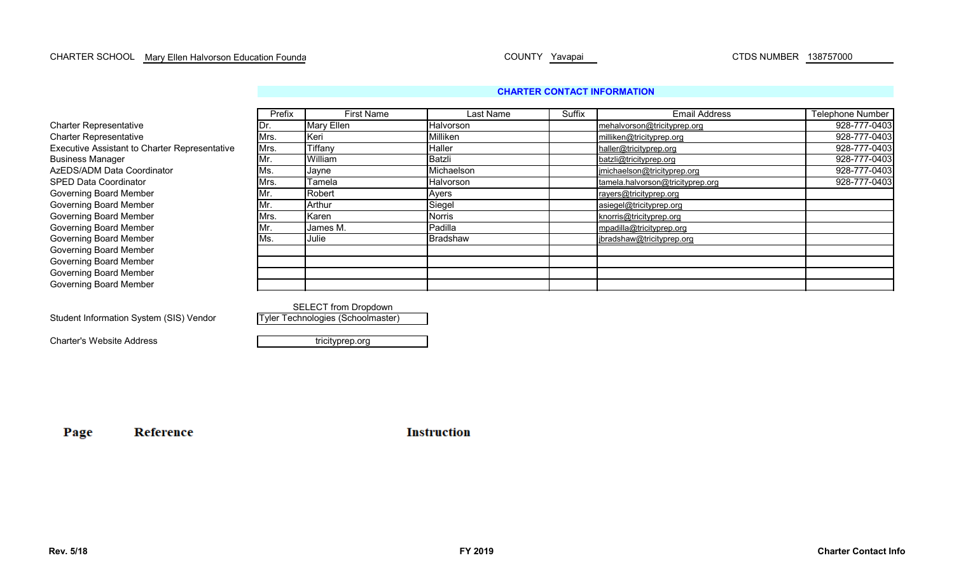## **CHARTER CONTACT INFORMATION**

|                                               | Prefix | <b>First Name</b> | Last Name       | Suffix | <b>Email Address</b>             | Telephone Number |
|-----------------------------------------------|--------|-------------------|-----------------|--------|----------------------------------|------------------|
| <b>Charter Representative</b>                 | וש     | Mary Ellen        | Halvorson       |        | mehalvorson@tricityprep.org      | 928-777-0403     |
| <b>Charter Representative</b>                 | Mrs.   | Keri              | Milliken        |        | milliken@tricityprep.org         | 928-777-0403     |
| Executive Assistant to Charter Representative | Mrs.   | Tiffany           | Haller          |        | haller@tricityprep.org           | 928-777-0403     |
| <b>Business Manager</b>                       | Mr.    | William           | Batzli          |        | batzli@tricityprep.org           | 928-777-0403     |
| AzEDS/ADM Data Coordinator                    | IMs.   | Jayne             | Michaelson      |        | jmichaelson@tricityprep.org      | 928-777-0403     |
| <b>SPED Data Coordinator</b>                  | Mrs.   | Tamela            | Halvorson       |        | tamela.halvorson@tricityprep.org | 928-777-0403     |
| <b>Governing Board Member</b>                 | Mr.    | Robert            | Ayers           |        | rayers@tricityprep.org           |                  |
| <b>Governing Board Member</b>                 | Mr.    | Arthur            | Siegel          |        | asiegel@tricityprep.org          |                  |
| <b>Governing Board Member</b>                 | Mrs.   | Karen             | <b>Norris</b>   |        | knorris@tricityprep.org          |                  |
| <b>Governing Board Member</b>                 | IMr.   | James M.          | Padilla         |        | mpadilla@tricityprep.org         |                  |
| <b>Governing Board Member</b>                 | Ms.    | Julie             | <b>Bradshaw</b> |        | jbradshaw@tricityprep.org        |                  |
| <b>Governing Board Member</b>                 |        |                   |                 |        |                                  |                  |
| <b>Governing Board Member</b>                 |        |                   |                 |        |                                  |                  |
| <b>Governing Board Member</b>                 |        |                   |                 |        |                                  |                  |
| <b>Governing Board Member</b>                 |        |                   |                 |        |                                  |                  |

Student Information System (SIS) Vendor

Reference

Charter's Website Address

tricityprep.org

Tyler Technologies (Schoolmaster)

SELECT from Dropdown

Page

**Instruction**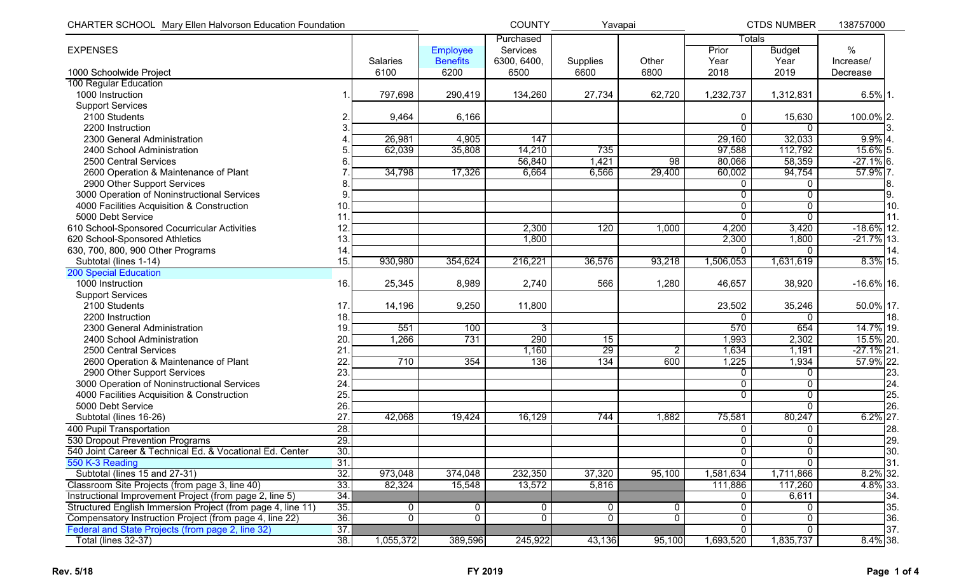| <b>CHARTER SCHOOL Mary Ellen Halvorson Education Foundation</b> |                   |                 |                 | <b>COUNTY</b> | Yavapai  |        |               | <b>CTDS NUMBER</b> | 138757000     |
|-----------------------------------------------------------------|-------------------|-----------------|-----------------|---------------|----------|--------|---------------|--------------------|---------------|
|                                                                 |                   |                 |                 | Purchased     |          |        | <b>Totals</b> |                    |               |
| <b>EXPENSES</b>                                                 |                   |                 | Employee        | Services      |          |        | Prior         | <b>Budget</b>      | %             |
|                                                                 |                   | <b>Salaries</b> | <b>Benefits</b> | 6300, 6400,   | Supplies | Other  | Year          | Year               | Increase/     |
| 1000 Schoolwide Project                                         |                   | 6100            | 6200            | 6500          | 6600     | 6800   | 2018          | 2019               | Decrease      |
| 100 Regular Education                                           |                   |                 |                 |               |          |        |               |                    |               |
| 1000 Instruction                                                |                   | 797,698         | 290,419         | 134,260       | 27,734   | 62,720 | 1,232,737     | 1,312,831          | $6.5\%$ 1.    |
| <b>Support Services</b>                                         |                   |                 |                 |               |          |        |               |                    |               |
| 2100 Students                                                   |                   | 9,464           | 6,166           |               |          |        | $\Omega$      | 15,630             | 100.0% 2.     |
| 2200 Instruction                                                |                   |                 |                 |               |          |        | $\Omega$      | $\Omega$           |               |
| 2300 General Administration                                     |                   | 26,981          | 4,905           | 147           |          |        | 29,160        | 32,033             | $9.9\%$ 4.    |
| 2400 School Administration                                      |                   | 62,039          | 35,808          | 14,210        | 735      |        | 97,588        | 112,792            | 15.6% 5.      |
| 2500 Central Services                                           |                   |                 |                 | 56,840        | 1,421    | 98     | 80,066        | 58,359             | $-27.1\%$ 6.  |
| 2600 Operation & Maintenance of Plant                           |                   | 34,798          | 17,326          | 6,664         | 6,566    | 29,400 | 60,002        | 94,754             | 57.9% 7.      |
| 2900 Other Support Services                                     | 8                 |                 |                 |               |          |        | 0             | $\mathbf{0}$       | 18.           |
| 3000 Operation of Noninstructional Services                     | 9                 |                 |                 |               |          |        | 0             | $\mathbf 0$        | 19.           |
| 4000 Facilities Acquisition & Construction                      | 10.               |                 |                 |               |          |        | $\mathbf 0$   | $\mathbf 0$        | 10.           |
| 5000 Debt Service                                               | 11                |                 |                 |               |          |        | $\mathbf{0}$  | $\mathbf 0$        | 111.          |
| 610 School-Sponsored Cocurricular Activities                    | 12.               |                 |                 | 2,300         | 120      | 1,000  | 4,200         | 3,420              | $-18.6\%$ 12. |
| 620 School-Sponsored Athletics                                  | 13.               |                 |                 | 1,800         |          |        | 2,300         | 1,800              | $-21.7%$ 13.  |
| 630, 700, 800, 900 Other Programs                               | 14.               |                 |                 |               |          |        |               | $\Omega$           | 14.           |
| Subtotal (lines 1-14)                                           | 15.               | 930,980         | 354,624         | 216,221       | 36,576   | 93,218 | 1,506,053     | 1,631,619          | 8.3% 15.      |
| <b>200 Special Education</b>                                    |                   |                 |                 |               |          |        |               |                    |               |
| 1000 Instruction                                                | 16.               | 25,345          | 8,989           | 2,740         | 566      | 1,280  | 46,657        | 38,920             | $-16.6\%$ 16. |
| <b>Support Services</b>                                         |                   |                 |                 |               |          |        |               |                    |               |
| 2100 Students                                                   | 17.               | 14,196          | 9,250           | 11,800        |          |        | 23,502        | 35,246             | 50.0% 17.     |
| 2200 Instruction                                                | 18.               |                 |                 |               |          |        | $\Omega$      | $\Omega$           | 18.           |
| 2300 General Administration                                     | 19.               | 551             | 100             | 3             |          |        | 570           | 654                | 14.7% 19.     |
| 2400 School Administration                                      | 20                | 1,266           | 731             | 290           | 15       |        | 1,993         | 2,302              | 15.5% 20.     |
| 2500 Central Services                                           | 21                |                 |                 | 1,160         | 29       | 2      | 1,634         | 1,191              | $-27.1\%$ 21  |
| 2600 Operation & Maintenance of Plant                           | 22                | 710             | 354             | 136           | 134      | 600    | 1,225         | 1,934              | 57.9% 22.     |
| 2900 Other Support Services                                     | 23                |                 |                 |               |          |        | $\Omega$      | $\mathbf{0}$       | 23.           |
| 3000 Operation of Noninstructional Services                     | 24                |                 |                 |               |          |        | 0             | $\mathbf{0}$       | 24            |
| 4000 Facilities Acquisition & Construction                      | 25.               |                 |                 |               |          |        | $\Omega$      | $\mathbf{0}$       | 25.           |
| 5000 Debt Service                                               | 26.               |                 |                 |               |          |        |               | $\Omega$           | <b>26</b>     |
| Subtotal (lines 16-26)                                          | 27                | 42,068          | 19,424          | 16,129        | 744      | 1,882  | 75,581        | 80,247             | $6.2\%$ 27.   |
| 400 Pupil Transportation                                        | $\overline{28}$ . |                 |                 |               |          |        | $\mathbf 0$   | $\mathbf{0}$       | 28.           |
| 530 Dropout Prevention Programs                                 | 29.1              |                 |                 |               |          |        | $\Omega$      | $\Omega$           | 129.          |
| 540 Joint Career & Technical Ed. & Vocational Ed. Center        | 30.               |                 |                 |               |          |        | $\mathbf{0}$  | $\overline{0}$     | 130.          |
| 550 K-3 Reading                                                 | 31.               |                 |                 |               |          |        | 0             | $\Omega$           | 131.          |
| Subtotal (lines 15 and 27-31)                                   | 32.               | 973,048         | 374,048         | 232,350       | 37,320   | 95,100 | 1,581,634     | 1,711,866          | 8.2% 32.      |
| Classroom Site Projects (from page 3, line 40)                  | 33.               | 82,324          | 15,548          | 13,572        | 5,816    |        | 111,886       | 117,260            | 4.8% 33.      |
| Instructional Improvement Project (from page 2, line 5)         | 34.               |                 |                 |               |          |        | 0             | 6,611              | 34.           |
| Structured English Immersion Project (from page 4, line 11)     | 35.               | 0               | 0               | 0             | 0        | 0      | 0             | $\Omega$           | 35.           |
| Compensatory Instruction Project (from page 4, line 22)         | 36.               | $\overline{0}$  | $\mathbf 0$     | $\mathbf{0}$  | 0        | 0      | $\mathbf 0$   | $\mathbf{0}$       | 36.           |
| Federal and State Projects (from page 2, line 32)               | 37.               |                 |                 |               |          |        | 0             | $\mathbf{0}$       | ]37.          |
| Total (lines 32-37)                                             | 38.               | 1,055,372       | 389,596         | 245,922       | 43,136   | 95,100 | 1,693,520     | 1,835,737          | $8.4\%$ 38.   |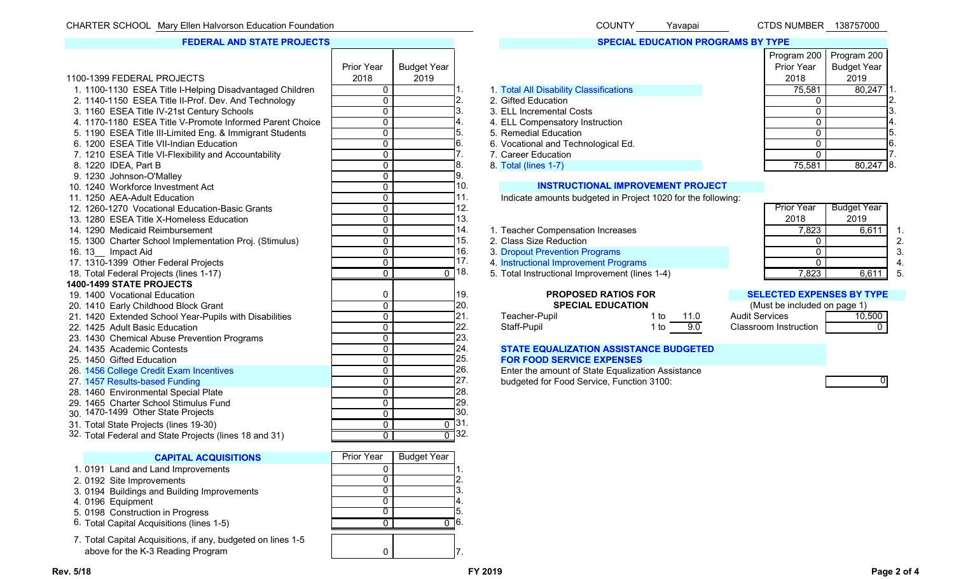CHARTER SCHOOL COUNTY CTDS NUMBER 138757000 Mary Ellen Halvorson Education Foundation Yavapai 1100-1399 FEDERAL PROJECTSPrior Year 2018Budget Year 20191. 1100-1130 ESEA Title I-Helping Disadvantaged Children **0 1. 1. 1. Total All Disability Classifications** 75,581 80,247 1. 2. 1140-1150 ESEA Title II-Prof. Dev. And Technology  $\begin{array}{|c|c|c|c|c|c|}\n\hline\n& 0 & 2. & 2. & \text{Gifted Education} \\
\hline\n3. & 1160 & \text{FSEA Title IV-21st Century Schools} & & & & & \\
\hline\n0. & & & & & \\
\hline\n\end{array}$ 3. 1160 ESEA Title IV-21st Century Schools **Canadia Costs** 0 3. 3. ELL Incremental Costs 0 3. 3. BLL Incremental Costs 4. 1170-1180 ESEA Title V-Promote Informed Parent Choice 0 0 4. 4. ELL Compensatory Instruction 0 0 4. 5. 1190 ESEA Title III-Limited Eng. & Immigrant Students **1980 Concrete Concrete Concrete Concrete Concrete Concrete Concrete Concrete Concrete Concrete Concrete Concrete Concrete Concrete Concrete Concrete Concrete Concre** 6. 1200 ESEA Title VII-Indian Education **6. 1200 ESEA Title VII-Indian Education** 6. 6. Vocational and Technological Ed. 1210 ESEA Title VI-Flexibility and Accountability 1990 Computer 1990 Computer 1990 Computer 1991 Comp 7. 1210 ESEA Title VI-Flexibility and Accountability **0 7.** 2. Career Education **7.** 2. Career Followski and D. 2. 7. Career Education **0** 7. 2. Career Education 8. 1220 IDEA, Part B 0| |8. 8. Total (lines 1-7) 75,581 | 80,247 |8. 9. 1230 Johnson-O'Malley 2012 12:30 Johnson-O'Malley 2012 12:30 Johnson-O'Malley 10. 1240 Workforce Investment Act 0 10. **INSTRUCTIONAL IMPROVEMENT PROJECT** 11. 1250 AEA-Adult Education  $\begin{array}{|c|c|c|c|c|c|}\n\hline\n& 0 & 11. & \text{Indicate amounts budgeted in Project 1020 for the following:}\n\end{array}$ <br>12. 1260-1270 Vocational Education-Basic Grants 12. 1260-1270 Vocational Education-Basic Grants 0 12. 13. 1280 ESEA Title X-Homeless Education **13. 1280 ESEA Title X-Homeless Education** 13. 14. 1290 Medicaid Reimbursement 1990 1991 1991 1991 1992 114. 1. Teacher Compensation Increases 1992 1998 1993 199 15. 1300 Charter School Implementation Proj. (Stimulus) 0 15. 2. Class Size Reduction 2. Class Company of the C 16. 13 \_\_ 16. 13\_\_ Impact Aid 0 3. Dropout Prevention Programs 0 3. Dropout Prevention Programs 0 3.<br>17. 1310-1399 Other Federal Projects 6 2. December 17. 4. Instructional Improvement Programs 0 3. Dropout 0 4. 17. 17. 1310-1399 of the Instructional Improvement Programs and the Contract of the Contract of the Contract of A<br>18. 12. 1823. 18611 17. 1823. 18611 17. 1823. 18611 17. 1823. 18611 1872. 1882. 1892. 1893. 1874. 1882. 1892 18. Total Federal Projects (lines 1-17) **2. 18. 19. Instructional Improvement (lines 1-4)** 7,823 1 6,611 5. **1400-1499 STATE PROJECTS**19. 1400 Vocational Education **19. 1400 Vocational Education** 19. **PROPOSED RATIOS FOR** 20. 1410 Early Childhood Block Grant **Childhood Block Grant** (Must be included on page 1) 20. **SPECIAL EDUCATION** (Must be included on page 1) 21. **SPECIAL EDUCATION** (Must be included on page 1) 21. Teacher-Pupil 21. 1420 21. 1420 Extended School Year-Pupils with Disabilities **21. Teacher-Pupil 1 to 21.** 22. 1425 Adult Basic Education **Departument Concerns 1 to 122.** Staff-Pupil 1 to 20.0 Classroom Instruction 1 to 20.0 Classroom Instruction 1 to 20.0 Classroom Instruction 20.0 Classroom Instruction 20.0 Classroom Instruct 23. 1430 Chemical Abuse Prevention Programs **12. 1430** Chemical Abuse Prevention Programs 24. 1435 Academic Contests 0 24. **STATE EQUALIZATION ASSISTANCE BUDGETED** 25. 1450 Gifted Education **Contract Contract Contract Contract Contract Contract Contract Contract Contract Contract Contract Contract Contract Contract Contract Contract Contract Contract Contract Contract Contract Contra** 26. 1456 College Credit Exam Incentives 27. 1457 Results-based Funding 28. 1460 Environmental Special Plate 0 28. 1460 Environmental Special Plate 29. 1465 Charter School Stimulus Fund 0 29. 1465 Charter School Stimulus Fund 30. 1470-1499 Other State Projects 0 $\begin{array}{ccc} \begin{array}{ccc} \circ & \circ & \circ \\ \hline \end{array} & \begin{array}{ccc} \circ & \circ & \circ \\ \end{array} \end{array}$ 31. Total State Projects (lines 19-30)<br> $32.$  Total Federal and State Projects (lines 18 and 31) **FEDERAL AND STATE PROJECTS**

32. Total Federal and State Projects (lines 18 and 31) <sup>0</sup> <sup>0</sup> 32.

## **CAPITAL ACQUISITIONS Prior Year**

- 1. 0191 Land and Land Improvements 0
- 2. 0192 Site Improvements 0 2. 0192 Site Improvements
- 3. 0194 Buildings and Building Improvements<br>4. 0196 Fauinment 0
- 
- 4. 0196 Equipment 0 4. 0196 Equipment 0 4. 0198 Construction in Progress 5. 0198 Construction in Progress
- 6. Total Capital Acquisitions (lines 1-5)  $\hphantom{\int^{P^P}_{P_P}}\hphantom{\int^{P^P}_{P_P}}\hphantom{\int^{P^P}_{P_P}}\hphantom{\int^{P^P}_{P_P}}\hphantom{\int^{P^P}_{P_P}}\hphantom{\int^{P^P}_{P_P}}\hphantom{\int^{P^P}_{P_P}}\hphantom{\int^{P^P}_{P_P}}\hphantom{\int^{P^P}_{P_P}}\hphantom{\int^{P^P}_{P_P}}\hphantom{\int^{P^P}_{P_P}}\hphantom{\int^{P^P}_{P_P}}\hphantom{\int^{P^P$
- 7. Total Capital Acquisitions, if any, budgeted on lines 1-5 above for the K-3 Reading Program

|                    | <u>.</u>        |             |
|--------------------|-----------------|-------------|
|                    | 24.<br>25.      | <b>STAT</b> |
|                    |                 | <b>FOR</b>  |
|                    | 26.             | Enter       |
|                    | 27.             | budge       |
|                    | 28.             |             |
|                    | $\frac{29}{30}$ |             |
|                    |                 |             |
| $\overline{0}$     | 31.             |             |
|                    | 32.             |             |
|                    |                 |             |
| <b>Budget Year</b> |                 |             |
|                    | 1.              |             |
|                    |                 |             |
|                    | $\frac{2}{3}$ . |             |
|                    | 4.<br>5.        |             |
|                    |                 |             |
| 0                  | 6.              |             |
|                    |                 |             |

| $\sim$ | --- - - - | ----------- |
|--------|-----------|-------------|
|        |           |             |

- 
- 
- 
- 
- 

| Teacher-Pupil |          | 1 to 11.0 |
|---------------|----------|-----------|
| Staff-Pupil   | 1 to the | 9.0       |

1456 College Credit Exam Inc. 26. Enter the amount of State Equalization Assistance<br>
27. budgeted for Food Service, Function 3100: eted for Food Service, Function 3100:

# Prior Year 2018Budget Year 2019

| ٠ |  |  |
|---|--|--|
| ٠ |  |  |
| ٠ |  |  |

| AUGIL SELVICES        |  |
|-----------------------|--|
| Classroom Instruction |  |
|                       |  |

|  |                            |  |  |  | QUALIZATION ASSISTANCE BUDGETED |  |  |
|--|----------------------------|--|--|--|---------------------------------|--|--|
|  | <b>DD SERVICE EXPENSES</b> |  |  |  |                                 |  |  |
|  |                            |  |  |  |                                 |  |  |

|                           | ECTED EXPENSES BY TYPE |
|---------------------------|------------------------|
| st be included on page 1) |                        |
| vices                     | 10,500                 |

| רוחו ורי | Voyar |
|----------|-------|

Prior Year 2018

Program 200 Program 200

Budget Year 2019

## **SPECIAL EDUCATION PROGRAMS BY TYPE**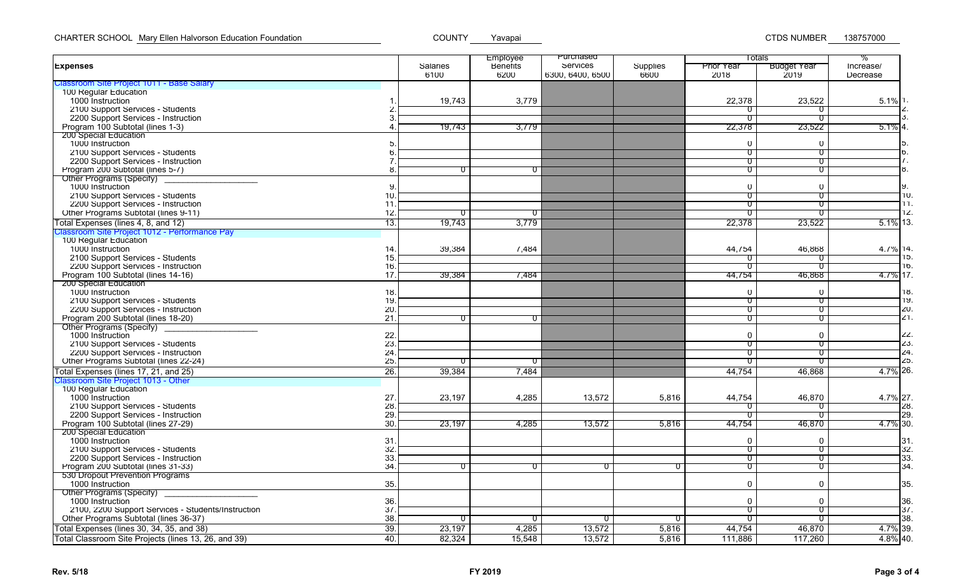|                                                           |     |          | Employee        | Purchased        |          |                   | Totals                  | %          |
|-----------------------------------------------------------|-----|----------|-----------------|------------------|----------|-------------------|-------------------------|------------|
| <b>Expenses</b>                                           |     | Salaries | <b>Benetits</b> | Services         | Supplies | <b>Prior Year</b> | <b>Budget Year</b>      | Increase/  |
| Classroom Site Project 1011 - Base Salary                 |     | 6100     | 6200            | 6300, 6400, 6500 | 6600     | 2018              | 2019                    | Decrease   |
| 100 Regular Education                                     |     |          |                 |                  |          |                   |                         |            |
| 1000 Instruction                                          |     | 19,743   | 3,779           |                  |          | 22,378            | 23,522                  | $5.1\%$ 1. |
| 2100 Support Services - Students                          |     |          |                 |                  |          | ᠊᠐                | U                       |            |
| 2200 Support Services - Instruction                       |     |          |                 |                  |          | ᠊᠐                |                         |            |
|                                                           |     |          |                 |                  |          |                   |                         |            |
| Program 100 Subtotal (lines 1-3)<br>200 Special Education |     | 19,743   | 3,779           |                  |          | 22,378            | 23,522                  | $5.1\%$ 4  |
| 1000 Instruction                                          |     |          |                 |                  |          | $\Omega$          | $\mathbf{0}$            |            |
|                                                           |     |          |                 |                  |          |                   |                         | b          |
| 2100 Support Services - Students                          |     |          |                 |                  |          | U                 | $\overline{\mathsf{U}}$ | $\prime$ . |
| 2200 Support Services - Instruction                       |     |          |                 |                  |          | ᠊ᡨ                | ᠊ᡨ                      |            |
| Program 200 Subtotal (lines 5-7)                          |     | 0        | ᠐               |                  |          | ᠊᠐                | ᠊᠐                      | ö.         |
| Other Programs (Specity)                                  |     |          |                 |                  |          |                   |                         |            |
| 1000 Instruction                                          |     |          |                 |                  |          | $\mathbf 0$       | $\mathbf 0$             | У.         |
| 2100 Support Services - Students                          | 10  |          |                 |                  |          | $\overline{0}$    | ᠊᠐                      | 10         |
| 2200 Support Services - Instruction                       | 11  |          |                 |                  |          | ᠊ण                | ᠊ᡨ                      | 11.        |
| Other Programs Subtotal (lines 9-11)                      | 12  | 0.       | ᡨ               |                  |          | $\mathsf{\sigma}$ | $\mathsf{o}$            | 12         |
| Total Expenses (lines 4, 8, and 12)                       | 13. | 19.743   | 3.779           |                  |          | 22,378            | 23,522                  | 5.1% 13    |
| Classroom Site Project 1012 - Performance Pay             |     |          |                 |                  |          |                   |                         |            |
| 100 Regular Education                                     |     |          |                 |                  |          |                   |                         |            |
| 1000 Instruction                                          | 14  | 39,384   | 7.484           |                  |          | 44,754            | 46,868                  | 4.7% 14    |
| 2100 Support Services - Students                          | 15  |          |                 |                  |          | U                 | $\Omega$                | כ ו־       |
| 2200 Support Services - Instruction                       | 16  |          |                 |                  |          | ᠊ᡨ                | ᠊ᡨ                      | 16         |
| Program 100 Subtotal (lines 14-16)                        | 17  | 39,384   | 7.484           |                  |          | 44,754            | 46,868                  | 4.7% 17    |
| 200 Special Education                                     |     |          |                 |                  |          |                   |                         |            |
|                                                           |     |          |                 |                  |          |                   |                         | 1୪,        |
| 1000 Instruction                                          | 18  |          |                 |                  |          | $\mathbf 0$       | $\mathbf 0$             |            |
| 2100 Support Services - Students                          | 19  |          |                 |                  |          | ᠊ᠣ                | ᠊ᡨ                      | 19         |
| 2200 Support Services - Instruction                       | 20  |          |                 |                  |          | ᠊᠐                | ᠊᠐                      | ZU.        |
| Program 200 Subtotal (lines 18-20)                        | 21  | 0.       | $\sigma$        |                  |          | U                 | $\mathsf{o}$            | 21.        |
| Other Programs (Specity)                                  |     |          |                 |                  |          |                   |                         |            |
| 1000 Instruction                                          | 22  |          |                 |                  |          | $\mathbf 0$       | $\Omega$                | ZZ         |
| 2100 Support Services - Students                          | 23  |          |                 |                  |          | U                 | $\sigma$                | 23         |
| 2200 Support Services - Instruction                       | 24  |          |                 |                  |          | ᠊ᠣ                | $\overline{\mathsf{U}}$ | 24         |
| Other Programs Subtotal (lines 22-24)                     | 25  | 0        | $\sigma$        |                  |          | ᠊᠐                | ᠊᠐                      | 25         |
| Total Expenses (lines 17, 21, and 25)                     | 26. | 39,384   | 7,484           |                  |          | 44,754            | 46,868                  | 4.7% 26    |
| Classroom Site Project 1013 - Other                       |     |          |                 |                  |          |                   |                         |            |
| 100 Regular Education                                     |     |          |                 |                  |          |                   |                         |            |
| 1000 Instruction                                          | 27  | 23,197   | 4,285           | 13,572           | 5,816    | 44,754            | 46,870                  | 4.7% 27    |
| 2100 Support Services - Students                          | 28  |          |                 |                  |          | U                 | 0.                      | 28         |
| 2200 Support Services - Instruction                       | 29  |          |                 |                  |          | ण                 | ᠊ᡨ                      | 29         |
| Program 100 Subtotal (lines 27-29)                        | 30  | 23,197   | 4,285           | 13,572           | 5,816    | 44,754            | 46,870                  | 4.7% 30    |
| 200 Special Education                                     |     |          |                 |                  |          |                   |                         |            |
| 1000 Instruction                                          | 31  |          |                 |                  |          | $\mathbf 0$       | $\mathbf{0}$            | 31.        |
| 2100 Support Services - Students                          | 32  |          |                 |                  |          | 0                 | $\overline{0}$          | 32         |
| 2200 Support Services - Instruction                       | 33  |          |                 |                  |          | ᠊᠐                | $\sigma$                | 33         |
| Program 200 Subtotal (lines 31-33)                        | 34  | $0^-$    | ᠊᠐              | ᠐                | U        | $\sigma$          | $\sigma$                | 34         |
| 530 Dropout Prevention Programs                           |     |          |                 |                  |          |                   |                         |            |
| 1000 Instruction                                          | 35. |          |                 |                  |          | $\mathbf 0$       | $\overline{0}$          | 35         |
| <b>Other Programs (Specify)</b>                           |     |          |                 |                  |          |                   |                         |            |
| 1000 Instruction                                          | 36  |          |                 |                  |          | $\mathbf 0$       | $\mathbf 0$             | 36         |
|                                                           |     |          |                 |                  |          |                   |                         |            |
| 2100, 2200 Support Services - Students/Instruction        | 37  |          |                 |                  |          | $\overline{0}$    | ᠊᠐                      | 37         |
| Other Programs Subtotal (lines 36-37)                     | 38  |          | 0               | $\sigma$         | $^{(1)}$ | U                 | $\sigma$                | 38         |
| Total Expenses (lines 30, 34, 35, and 38)                 | 39  | 23,197   | 4,285           | 13,572           | 5,816    | 44,754            | 46,870                  | 4.7% 39    |
| Total Classroom Site Projects (lines 13, 26, and 39)      | 40. | 82,324   | 15,548          | 13,572           | 5,816    | 111,886           | 117,260                 | 4.8% 40    |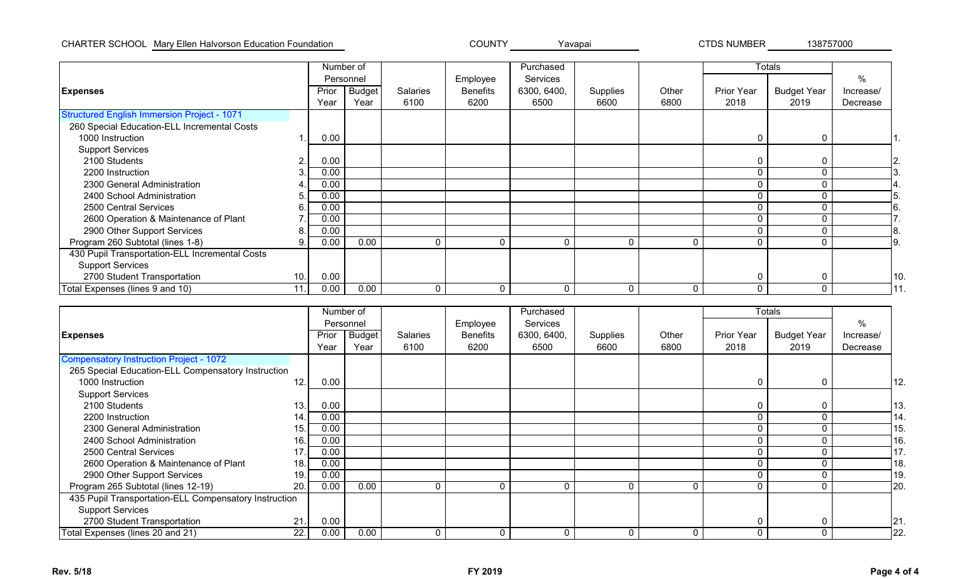## CHARTER SCHOOL COUNTY CTDS NUMBER Mary Ellen Halvorson Education Foundation Yavapai 138757000

|                                                    |     | Number of |               |                 |                 | Purchased   |          |          |                   | <b>Totals</b>      |                 |
|----------------------------------------------------|-----|-----------|---------------|-----------------|-----------------|-------------|----------|----------|-------------------|--------------------|-----------------|
|                                                    |     |           | Personnel     |                 | Employee        | Services    |          |          |                   |                    | $\%$            |
| <b>Expenses</b>                                    |     | Prior     | <b>Budget</b> | <b>Salaries</b> | <b>Benefits</b> | 6300, 6400, | Supplies | Other    | <b>Prior Year</b> | <b>Budget Year</b> | Increase/       |
|                                                    |     | Year      | Year          | 6100            | 6200            | 6500        | 6600     | 6800     | 2018              | 2019               | Decrease        |
| <b>Structured English Immersion Project - 1071</b> |     |           |               |                 |                 |             |          |          |                   |                    |                 |
| 260 Special Education-ELL Incremental Costs        |     |           |               |                 |                 |             |          |          |                   |                    |                 |
| 1000 Instruction                                   |     | 0.00      |               |                 |                 |             |          |          | 0                 | 0                  |                 |
| <b>Support Services</b>                            |     |           |               |                 |                 |             |          |          |                   |                    |                 |
| 2100 Students                                      | 2.  | 0.00      |               |                 |                 |             |          |          | 0                 | $\Omega$           | ۷.              |
| 2200 Instruction                                   |     | 0.00      |               |                 |                 |             |          |          | 0                 |                    |                 |
| 2300 General Administration                        |     | 0.00      |               |                 |                 |             |          |          |                   |                    |                 |
| 2400 School Administration                         | 5   | 0.00      |               |                 |                 |             |          |          | 0                 |                    |                 |
| 2500 Central Services                              | 6.  | 0.00      |               |                 |                 |             |          |          |                   |                    |                 |
| 2600 Operation & Maintenance of Plant              |     | 0.00      |               |                 |                 |             |          |          | 0                 |                    |                 |
| 2900 Other Support Services                        | 8   | 0.00      |               |                 |                 |             |          |          |                   |                    |                 |
| Program 260 Subtotal (lines 1-8)                   | 9   | 0.00      | 0.00          | $\Omega$        |                 |             | $\Omega$ | 0        | 0                 |                    |                 |
| 430 Pupil Transportation-ELL Incremental Costs     |     |           |               |                 |                 |             |          |          |                   |                    |                 |
| <b>Support Services</b>                            |     |           |               |                 |                 |             |          |          |                   |                    |                 |
| 2700 Student Transportation                        | 10. | 0.00      |               |                 |                 |             |          |          | 0                 | C                  | 10 <sub>1</sub> |
| Total Expenses (lines 9 and 10)                    | 11. | 0.00      | 0.00          | $\mathbf{0}$    | 0               | $\Omega$    | $\Omega$ | $\Omega$ | 0                 | $\Omega$           |                 |

|                                                       |             | Number of     |          |                 | Purchased   |          |             |                   | Totals             |           |
|-------------------------------------------------------|-------------|---------------|----------|-----------------|-------------|----------|-------------|-------------------|--------------------|-----------|
|                                                       |             | Personnel     |          | Employee        | Services    |          |             |                   |                    | %         |
| <b>Expenses</b>                                       | Prior       | <b>Budget</b> | Salaries | <b>Benefits</b> | 6300, 6400, | Supplies | Other       | <b>Prior Year</b> | <b>Budget Year</b> | Increase/ |
|                                                       | Year        | Year          | 6100     | 6200            | 6500        | 6600     | 6800        | 2018              | 2019               | Decrease  |
| <b>Compensatory Instruction Project - 1072</b>        |             |               |          |                 |             |          |             |                   |                    |           |
| 265 Special Education-ELL Compensatory Instruction    |             |               |          |                 |             |          |             |                   |                    |           |
| 1000 Instruction                                      | 12.<br>0.00 |               |          |                 |             |          |             | 0                 | 0                  | 12.       |
| <b>Support Services</b>                               |             |               |          |                 |             |          |             |                   |                    |           |
| 2100 Students                                         | 13.<br>0.00 |               |          |                 |             |          |             |                   |                    | 13.       |
| 2200 Instruction                                      | 0.00<br>14. |               |          |                 |             |          |             | $\Omega$          |                    | 14.       |
| 2300 General Administration                           | 0.00<br>15. |               |          |                 |             |          |             |                   |                    | 15.       |
| 2400 School Administration                            | 0.00<br>16. |               |          |                 |             |          |             |                   |                    | 16.       |
| 2500 Central Services                                 | 17.<br>0.00 |               |          |                 |             |          |             |                   |                    | 17.       |
| 2600 Operation & Maintenance of Plant                 | 0.00<br>18. |               |          |                 |             |          |             |                   |                    | 18.       |
| 2900 Other Support Services                           | 0.00<br>19. |               |          |                 |             |          |             |                   |                    | 19.       |
| Program 265 Subtotal (lines 12-19)                    | 0.00<br>20. | 0.00          | 0        | $\Omega$        |             | 0        | $\mathbf 0$ | 0                 |                    | 20.       |
| 435 Pupil Transportation-ELL Compensatory Instruction |             |               |          |                 |             |          |             |                   |                    |           |
| <b>Support Services</b>                               |             |               |          |                 |             |          |             |                   |                    |           |
| 2700 Student Transportation                           | 0.00<br>21. |               |          |                 |             |          |             |                   | 0                  | 21.       |
| Total Expenses (lines 20 and 21)                      | 22.<br>0.00 | 0.00          | 0        | ∩               | O           | 0        | $\Omega$    | $\Omega$          |                    | 22.       |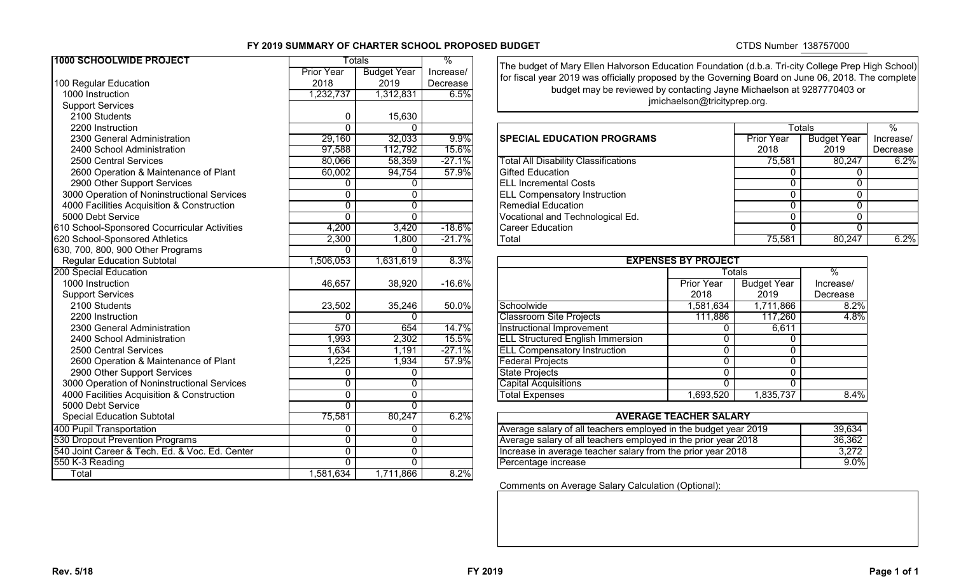## **FY 2019 SUMMARY OF CHARTER SCHOOL PROPOSED BUDGET**

# CTDS Number 138757000

| 1000 SCHOOLWIDE PROJECT                        |                   | Totals             | %         | The budget of Mary Ellen Halvorson Education Foundation (d.b.a. Tri-city College Prep High Sc |                               |                    |                    |                          |
|------------------------------------------------|-------------------|--------------------|-----------|-----------------------------------------------------------------------------------------------|-------------------------------|--------------------|--------------------|--------------------------|
|                                                | <b>Prior Year</b> | <b>Budget Year</b> | Increase/ | for fiscal year 2019 was officially proposed by the Governing Board on June 06, 2018. The com |                               |                    |                    |                          |
| 100 Regular Education                          | 2018              | 2019               | Decrease  |                                                                                               |                               |                    |                    |                          |
| 1000 Instruction                               | 1,232,737         | 1,312,831          | 6.5%      | budget may be reviewed by contacting Jayne Michaelson at 9287770403 or                        |                               |                    |                    |                          |
| <b>Support Services</b>                        |                   |                    |           |                                                                                               | jmichaelson@tricityprep.org.  |                    |                    |                          |
| 2100 Students                                  | 0                 | 15,630             |           |                                                                                               |                               |                    |                    |                          |
| 2200 Instruction                               | $\Omega$          | $\Omega$           |           |                                                                                               |                               | <b>Totals</b>      |                    | $\overline{\frac{9}{6}}$ |
| 2300 General Administration                    | 29,160            | 32,033             | 9.9%      | <b>SPECIAL EDUCATION PROGRAMS</b>                                                             |                               | <b>Prior Year</b>  | <b>Budget Year</b> | Increa                   |
| 2400 School Administration                     | 97,588            | 112,792            | 15.6%     |                                                                                               |                               | 2018               | 2019               | Decre                    |
| 2500 Central Services                          | 80,066            | 58,359             | $-27.1%$  | <b>Total All Disability Classifications</b>                                                   |                               | 75,581             | 80,247             |                          |
| 2600 Operation & Maintenance of Plant          | 60,002            | 94,754             | 57.9%     | <b>Gifted Education</b>                                                                       |                               | $\Omega$           | $\Omega$           |                          |
| 2900 Other Support Services                    | 0                 | $\mathbf 0$        |           | <b>ELL Incremental Costs</b>                                                                  |                               | $\Omega$           | $\Omega$           |                          |
| 3000 Operation of Noninstructional Services    | 0                 | $\mathbf 0$        |           | <b>ELL Compensatory Instruction</b>                                                           |                               | 0                  | $\mathbf{0}$       |                          |
| 4000 Facilities Acquisition & Construction     | $\overline{0}$    | $\overline{0}$     |           | <b>Remedial Education</b>                                                                     |                               | $\Omega$           | $\overline{0}$     |                          |
| 5000 Debt Service                              | $\mathbf 0$       | $\mathbf 0$        |           | Vocational and Technological Ed.                                                              |                               | $\mathbf 0$        | $\mathbf{0}$       |                          |
| 610 School-Sponsored Cocurricular Activities   | 4,200             | 3,420              | $-18.6%$  | <b>Career Education</b>                                                                       |                               | $\mathbf 0$        | $\Omega$           |                          |
| 620 School-Sponsored Athletics                 | 2,300             | 1,800              | $-21.7%$  | Total                                                                                         |                               | 75,581             | 80,247             |                          |
| 630, 700, 800, 900 Other Programs              | $\Omega$          | $\Omega$           |           |                                                                                               |                               |                    |                    |                          |
| <b>Regular Education Subtotal</b>              | 1,506,053         | 1,631,619          | 8.3%      |                                                                                               | <b>EXPENSES BY PROJECT</b>    |                    |                    |                          |
| 200 Special Education                          |                   |                    |           |                                                                                               |                               | <b>Totals</b>      | $\frac{8}{6}$      |                          |
| 1000 Instruction                               | 46,657            | 38,920             | $-16.6%$  |                                                                                               | <b>Prior Year</b>             | <b>Budget Year</b> | Increase/          |                          |
| <b>Support Services</b>                        |                   |                    |           |                                                                                               | 2018                          | 2019               | Decrease           |                          |
| 2100 Students                                  | 23,502            | 35,246             | 50.0%     | Schoolwide                                                                                    | 1,581,634                     | 1,711,866          | 8.2%               |                          |
| 2200 Instruction                               | 0                 | $\Omega$           |           | <b>Classroom Site Projects</b>                                                                | 111,886                       | 117,260            | 4.8%               |                          |
| 2300 General Administration                    | 570               | 654                | 14.7%     | <b>Instructional Improvement</b>                                                              | 0                             | 6,611              |                    |                          |
| 2400 School Administration                     | 1,993             | 2,302              | 15.5%     | <b>ELL Structured English Immersion</b>                                                       | 0                             |                    |                    |                          |
| 2500 Central Services                          | 1,634             | 1,191              | $-27.1%$  | <b>ELL Compensatory Instruction</b>                                                           | $\mathbf{0}$                  | $\Omega$           |                    |                          |
| 2600 Operation & Maintenance of Plant          | 1,225             | 1,934              | 57.9%     | <b>Federal Projects</b>                                                                       | $\mathbf{0}$                  | $\mathbf 0$        |                    |                          |
| 2900 Other Support Services                    | 0                 | $\mathbf 0$        |           | <b>State Projects</b>                                                                         | $\mathbf{0}$                  | $\mathbf 0$        |                    |                          |
| 3000 Operation of Noninstructional Services    | $\overline{0}$    | $\overline{0}$     |           | <b>Capital Acquisitions</b>                                                                   | $\mathbf{0}$                  | $\Omega$           |                    |                          |
| 4000 Facilities Acquisition & Construction     | $\overline{0}$    | $\overline{0}$     |           | <b>Total Expenses</b>                                                                         | 1,693,520                     | 1,835,737          | 8.4%               |                          |
| 5000 Debt Service                              | $\Omega$          | $\mathbf 0$        |           |                                                                                               |                               |                    |                    |                          |
| <b>Special Education Subtotal</b>              | 75,581            | 80,247             | 6.2%      |                                                                                               | <b>AVERAGE TEACHER SALARY</b> |                    |                    |                          |
| 400 Pupil Transportation                       | 0                 | 0                  |           | Average salary of all teachers employed in the budget year 2019                               |                               |                    | 39,634             |                          |
| 530 Dropout Prevention Programs                | $\overline{0}$    | $\overline{0}$     |           | Average salary of all teachers employed in the prior year 2018                                |                               |                    | 36,362             |                          |
| 540 Joint Career & Tech. Ed. & Voc. Ed. Center | $\overline{0}$    | $\overline{0}$     |           | Increase in average teacher salary from the prior year 2018                                   |                               |                    | 3,272              |                          |
| 550 K-3 Reading                                | $\overline{0}$    | $\overline{0}$     |           | Percentage increase                                                                           |                               |                    | 9.0%               |                          |
| Total                                          | 1,581,634         | 1,711,866          | 8.2%      |                                                                                               |                               |                    |                    |                          |

The budget of Mary Ellen Halvorson Education Foundation (d.b.a. Tri-city College Prep High School) for fiscal year 2019 was officially proposed by the Governing Board on June 06, 2018. The complete budget may be reviewed by contacting Jayne Michaelson at 9287770403 or jmichaelson@tricityprep.org.

| 2200 Instruction                             |        |        |          |                                             |                   | <b>Totals</b>      |            |
|----------------------------------------------|--------|--------|----------|---------------------------------------------|-------------------|--------------------|------------|
| 2300 General Administration                  | 29,160 | 32,033 | $9.9\%$  | <b>SPECIAL EDUCATION PROGRAMS</b>           | <b>Prior Year</b> | <b>Budget Year</b> | Increase/  |
| 2400 School Administration                   | 97,588 | 12,792 | 15.6%    |                                             | 2018              | 2019               | Decrease I |
| 2500 Central Services                        | 80,066 | 58,359 | $-27.1%$ | <b>Total All Disability Classifications</b> | 75,581            | 80,247             | 6.2%       |
| 2600 Operation & Maintenance of Plant        | 60,002 | 94,754 | 57.9%    | Gifted Education                            |                   |                    |            |
| 2900 Other Support Services                  |        |        |          | <b>IELL Incremental Costs</b>               |                   |                    |            |
| 3000 Operation of Noninstructional Services  |        |        |          | <b>ELL Compensatory Instruction</b>         |                   |                    |            |
| 4000 Facilities Acquisition & Construction   |        |        |          | <b>Remedial Education</b>                   |                   |                    |            |
| 5000 Debt Service                            |        |        |          | Vocational and Technological Ed.            |                   |                    |            |
| 610 School-Sponsored Cocurricular Activities | 4.200  | 3,420  | $-18.6%$ | Career Education                            |                   |                    |            |
| 620 School-Sponsored Athletics               | 2,300  | 800,۱  | $-21.7%$ | Total                                       | 75,581            | 80,247             | 6.2%       |
|                                              |        |        |          |                                             |                   |                    |            |

| <b>EXPENSES BY PROJECT</b>              |                   |                    |               |  |
|-----------------------------------------|-------------------|--------------------|---------------|--|
|                                         |                   | <b>Totals</b>      | $\frac{0}{0}$ |  |
|                                         | <b>Prior Year</b> | <b>Budget Year</b> | Increase/     |  |
|                                         | 2018              | 2019               | Decrease      |  |
| Schoolwide                              | 1,581,634         | 1,711,866          | 8.2%          |  |
| <b>Classroom Site Projects</b>          | 111,886           | 117,260            | 4.8%          |  |
| <b>Instructional Improvement</b>        | 0                 | 6,611              |               |  |
| <b>ELL Structured English Immersion</b> | 0                 | 0                  |               |  |
| <b>ELL Compensatory Instruction</b>     | 0                 | 0                  |               |  |
| <b>Federal Projects</b>                 | 0                 | 0                  |               |  |
| <b>State Projects</b>                   | 0                 | 0                  |               |  |
| <b>Capital Acquisitions</b>             | 0                 | 0                  |               |  |
| <b>Total Expenses</b>                   | 1,693,520         | 1,835,737          | 8.4%          |  |

| <b>AVERAGE TEACHER SALARY</b>                                   |         |
|-----------------------------------------------------------------|---------|
| Average salary of all teachers employed in the budget year 2019 | 39.634  |
| Average salary of all teachers employed in the prior year 2018  | 36.362  |
| Increase in average teacher salary from the prior year 2018     | 3.272   |
| Percentage increase                                             | $9.0\%$ |

Comments on Average Salary Calculation (Optional):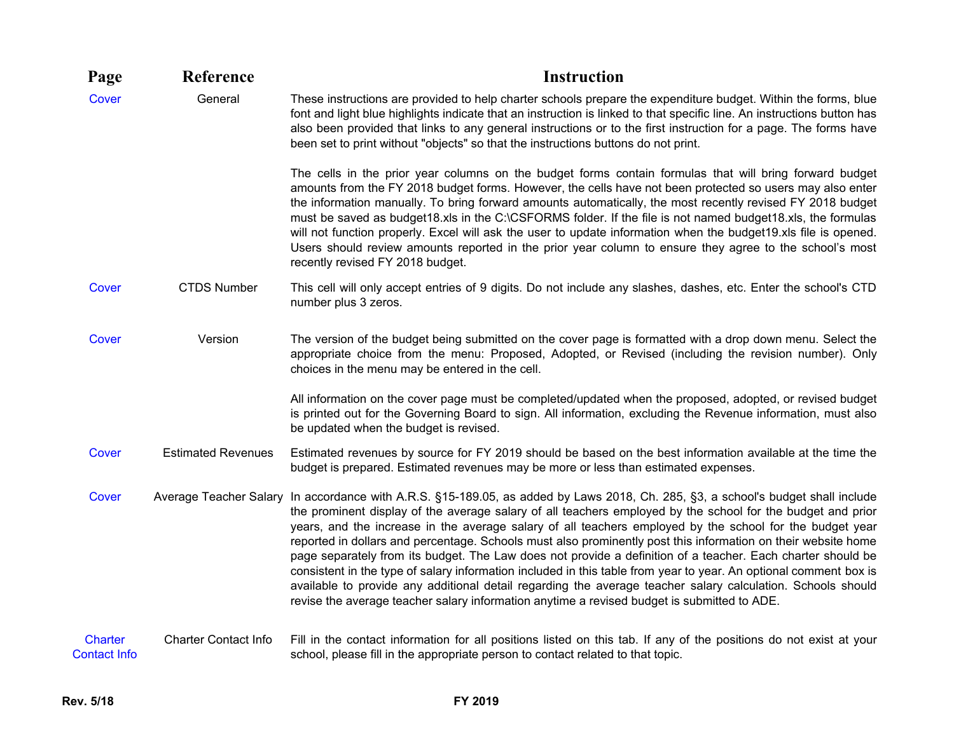| Page                                  | Reference                   | <b>Instruction</b>                                                                                                                                                                                                                                                                                                                                                                                                                                                                                                                                                                                                                                                                                                                                                                                                                                                                                                             |
|---------------------------------------|-----------------------------|--------------------------------------------------------------------------------------------------------------------------------------------------------------------------------------------------------------------------------------------------------------------------------------------------------------------------------------------------------------------------------------------------------------------------------------------------------------------------------------------------------------------------------------------------------------------------------------------------------------------------------------------------------------------------------------------------------------------------------------------------------------------------------------------------------------------------------------------------------------------------------------------------------------------------------|
| <b>Cover</b>                          | General                     | These instructions are provided to help charter schools prepare the expenditure budget. Within the forms, blue<br>font and light blue highlights indicate that an instruction is linked to that specific line. An instructions button has<br>also been provided that links to any general instructions or to the first instruction for a page. The forms have<br>been set to print without "objects" so that the instructions buttons do not print.                                                                                                                                                                                                                                                                                                                                                                                                                                                                            |
|                                       |                             | The cells in the prior year columns on the budget forms contain formulas that will bring forward budget<br>amounts from the FY 2018 budget forms. However, the cells have not been protected so users may also enter<br>the information manually. To bring forward amounts automatically, the most recently revised FY 2018 budget<br>must be saved as budget18.xls in the C:\CSFORMS folder. If the file is not named budget18.xls, the formulas<br>will not function properly. Excel will ask the user to update information when the budget19.xls file is opened.<br>Users should review amounts reported in the prior year column to ensure they agree to the school's most<br>recently revised FY 2018 budget.                                                                                                                                                                                                            |
| Cover                                 | <b>CTDS Number</b>          | This cell will only accept entries of 9 digits. Do not include any slashes, dashes, etc. Enter the school's CTD<br>number plus 3 zeros.                                                                                                                                                                                                                                                                                                                                                                                                                                                                                                                                                                                                                                                                                                                                                                                        |
| Cover                                 | Version                     | The version of the budget being submitted on the cover page is formatted with a drop down menu. Select the<br>appropriate choice from the menu: Proposed, Adopted, or Revised (including the revision number). Only<br>choices in the menu may be entered in the cell.                                                                                                                                                                                                                                                                                                                                                                                                                                                                                                                                                                                                                                                         |
|                                       |                             | All information on the cover page must be completed/updated when the proposed, adopted, or revised budget<br>is printed out for the Governing Board to sign. All information, excluding the Revenue information, must also<br>be updated when the budget is revised.                                                                                                                                                                                                                                                                                                                                                                                                                                                                                                                                                                                                                                                           |
| Cover                                 | <b>Estimated Revenues</b>   | Estimated revenues by source for FY 2019 should be based on the best information available at the time the<br>budget is prepared. Estimated revenues may be more or less than estimated expenses.                                                                                                                                                                                                                                                                                                                                                                                                                                                                                                                                                                                                                                                                                                                              |
| Cover                                 |                             | Average Teacher Salary In accordance with A.R.S. §15-189.05, as added by Laws 2018, Ch. 285, §3, a school's budget shall include<br>the prominent display of the average salary of all teachers employed by the school for the budget and prior<br>years, and the increase in the average salary of all teachers employed by the school for the budget year<br>reported in dollars and percentage. Schools must also prominently post this information on their website home<br>page separately from its budget. The Law does not provide a definition of a teacher. Each charter should be<br>consistent in the type of salary information included in this table from year to year. An optional comment box is<br>available to provide any additional detail regarding the average teacher salary calculation. Schools should<br>revise the average teacher salary information anytime a revised budget is submitted to ADE. |
| <b>Charter</b><br><b>Contact Info</b> | <b>Charter Contact Info</b> | Fill in the contact information for all positions listed on this tab. If any of the positions do not exist at your<br>school, please fill in the appropriate person to contact related to that topic.                                                                                                                                                                                                                                                                                                                                                                                                                                                                                                                                                                                                                                                                                                                          |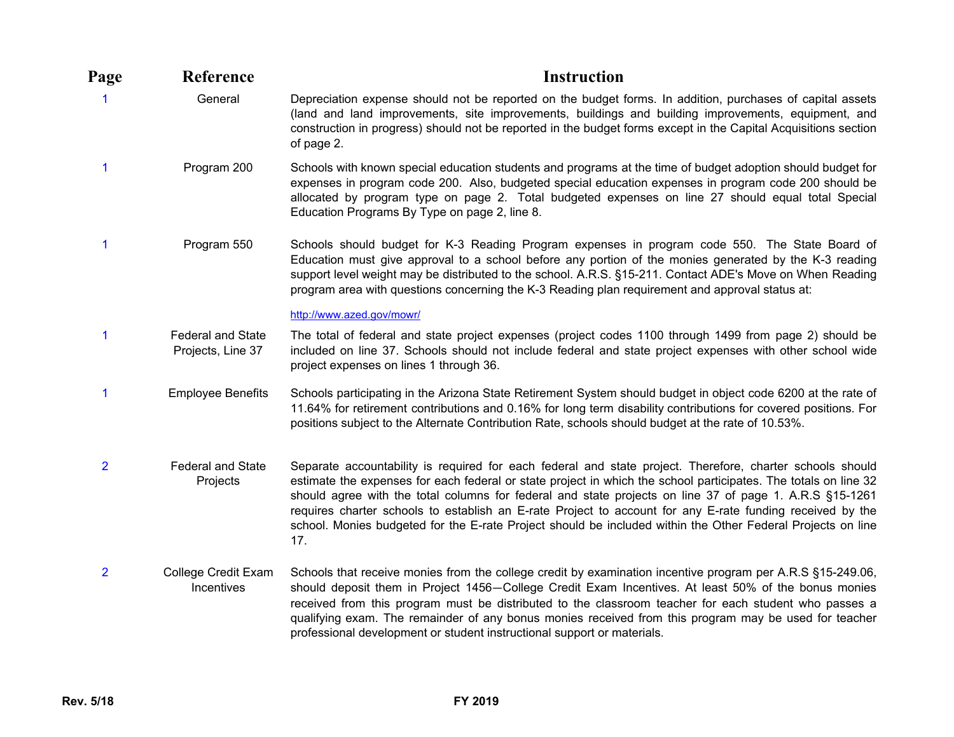| Page           | Reference                                     | <b>Instruction</b>                                                                                                                                                                                                                                                                                                                                                                                                                                                                                                                                                         |
|----------------|-----------------------------------------------|----------------------------------------------------------------------------------------------------------------------------------------------------------------------------------------------------------------------------------------------------------------------------------------------------------------------------------------------------------------------------------------------------------------------------------------------------------------------------------------------------------------------------------------------------------------------------|
| 1              | General                                       | Depreciation expense should not be reported on the budget forms. In addition, purchases of capital assets<br>(land and land improvements, site improvements, buildings and building improvements, equipment, and<br>construction in progress) should not be reported in the budget forms except in the Capital Acquisitions section<br>of page 2.                                                                                                                                                                                                                          |
| 1              | Program 200                                   | Schools with known special education students and programs at the time of budget adoption should budget for<br>expenses in program code 200. Also, budgeted special education expenses in program code 200 should be<br>allocated by program type on page 2. Total budgeted expenses on line 27 should equal total Special<br>Education Programs By Type on page 2, line 8.                                                                                                                                                                                                |
| 1              | Program 550                                   | Schools should budget for K-3 Reading Program expenses in program code 550. The State Board of<br>Education must give approval to a school before any portion of the monies generated by the K-3 reading<br>support level weight may be distributed to the school. A.R.S. §15-211. Contact ADE's Move on When Reading<br>program area with questions concerning the K-3 Reading plan requirement and approval status at:                                                                                                                                                   |
|                |                                               | http://www.azed.gov/mowr/                                                                                                                                                                                                                                                                                                                                                                                                                                                                                                                                                  |
| 1              | <b>Federal and State</b><br>Projects, Line 37 | The total of federal and state project expenses (project codes 1100 through 1499 from page 2) should be<br>included on line 37. Schools should not include federal and state project expenses with other school wide<br>project expenses on lines 1 through 36.                                                                                                                                                                                                                                                                                                            |
| 1              | <b>Employee Benefits</b>                      | Schools participating in the Arizona State Retirement System should budget in object code 6200 at the rate of<br>11.64% for retirement contributions and 0.16% for long term disability contributions for covered positions. For<br>positions subject to the Alternate Contribution Rate, schools should budget at the rate of 10.53%.                                                                                                                                                                                                                                     |
| $\overline{2}$ | <b>Federal and State</b><br>Projects          | Separate accountability is required for each federal and state project. Therefore, charter schools should<br>estimate the expenses for each federal or state project in which the school participates. The totals on line 32<br>should agree with the total columns for federal and state projects on line 37 of page 1. A.R.S §15-1261<br>requires charter schools to establish an E-rate Project to account for any E-rate funding received by the<br>school. Monies budgeted for the E-rate Project should be included within the Other Federal Projects on line<br>17. |
| $\overline{2}$ | College Credit Exam<br>Incentives             | Schools that receive monies from the college credit by examination incentive program per A.R.S §15-249.06,<br>should deposit them in Project 1456-College Credit Exam Incentives. At least 50% of the bonus monies<br>received from this program must be distributed to the classroom teacher for each student who passes a<br>qualifying exam. The remainder of any bonus monies received from this program may be used for teacher<br>professional development or student instructional support or materials.                                                            |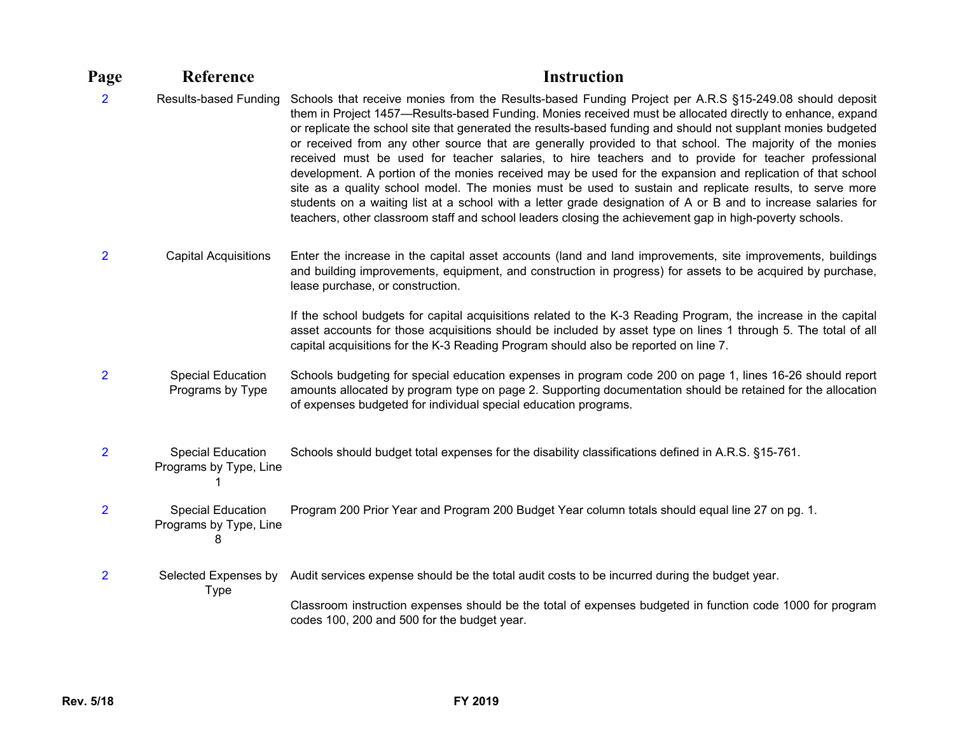| Page           | Reference                                               | <b>Instruction</b>                                                                                                                                                                                                                                                                                                                                                                                                                                                                                                                                                                                                                                                                                                                                                                                                                                                                                                                                                                                            |
|----------------|---------------------------------------------------------|---------------------------------------------------------------------------------------------------------------------------------------------------------------------------------------------------------------------------------------------------------------------------------------------------------------------------------------------------------------------------------------------------------------------------------------------------------------------------------------------------------------------------------------------------------------------------------------------------------------------------------------------------------------------------------------------------------------------------------------------------------------------------------------------------------------------------------------------------------------------------------------------------------------------------------------------------------------------------------------------------------------|
| $\overline{2}$ | <b>Results-based Funding</b>                            | Schools that receive monies from the Results-based Funding Project per A.R.S §15-249.08 should deposit<br>them in Project 1457—Results-based Funding. Monies received must be allocated directly to enhance, expand<br>or replicate the school site that generated the results-based funding and should not supplant monies budgeted<br>or received from any other source that are generally provided to that school. The majority of the monies<br>received must be used for teacher salaries, to hire teachers and to provide for teacher professional<br>development. A portion of the monies received may be used for the expansion and replication of that school<br>site as a quality school model. The monies must be used to sustain and replicate results, to serve more<br>students on a waiting list at a school with a letter grade designation of A or B and to increase salaries for<br>teachers, other classroom staff and school leaders closing the achievement gap in high-poverty schools. |
| $\overline{2}$ | <b>Capital Acquisitions</b>                             | Enter the increase in the capital asset accounts (land and land improvements, site improvements, buildings<br>and building improvements, equipment, and construction in progress) for assets to be acquired by purchase,<br>lease purchase, or construction.                                                                                                                                                                                                                                                                                                                                                                                                                                                                                                                                                                                                                                                                                                                                                  |
|                |                                                         | If the school budgets for capital acquisitions related to the K-3 Reading Program, the increase in the capital<br>asset accounts for those acquisitions should be included by asset type on lines 1 through 5. The total of all<br>capital acquisitions for the K-3 Reading Program should also be reported on line 7.                                                                                                                                                                                                                                                                                                                                                                                                                                                                                                                                                                                                                                                                                        |
| $\overline{2}$ | <b>Special Education</b><br>Programs by Type            | Schools budgeting for special education expenses in program code 200 on page 1, lines 16-26 should report<br>amounts allocated by program type on page 2. Supporting documentation should be retained for the allocation<br>of expenses budgeted for individual special education programs.                                                                                                                                                                                                                                                                                                                                                                                                                                                                                                                                                                                                                                                                                                                   |
| $\overline{2}$ | <b>Special Education</b><br>Programs by Type, Line      | Schools should budget total expenses for the disability classifications defined in A.R.S. §15-761.                                                                                                                                                                                                                                                                                                                                                                                                                                                                                                                                                                                                                                                                                                                                                                                                                                                                                                            |
| $\overline{2}$ | <b>Special Education</b><br>Programs by Type, Line<br>8 | Program 200 Prior Year and Program 200 Budget Year column totals should equal line 27 on pg. 1.                                                                                                                                                                                                                                                                                                                                                                                                                                                                                                                                                                                                                                                                                                                                                                                                                                                                                                               |
| $\overline{2}$ |                                                         | Selected Expenses by Audit services expense should be the total audit costs to be incurred during the budget year.                                                                                                                                                                                                                                                                                                                                                                                                                                                                                                                                                                                                                                                                                                                                                                                                                                                                                            |
|                | <b>Type</b>                                             | Classroom instruction expenses should be the total of expenses budgeted in function code 1000 for program<br>codes 100, 200 and 500 for the budget year.                                                                                                                                                                                                                                                                                                                                                                                                                                                                                                                                                                                                                                                                                                                                                                                                                                                      |